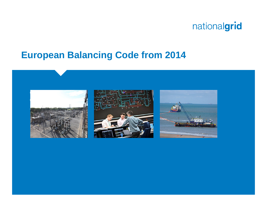# **European Balancing Code from 2014**

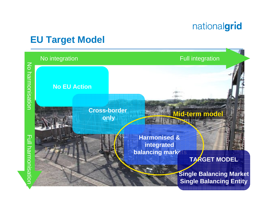# **EU Target Model**

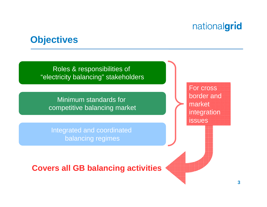# **Objectives**

Roles & responsibilities of "electricity balancing" stakeholders

Minimum standards for competitive balancing market

Integrated and coordinated balancing regimes

**Covers all GB balancing activities**

For cross border and market integration issues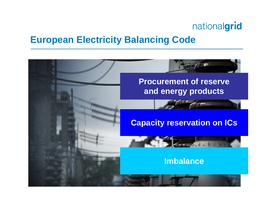# **European Electricity Balancing Code**

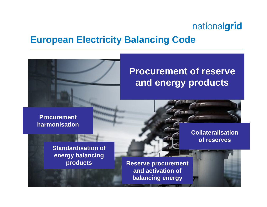# **European Electricity Balancing Code**



# **Procurement of reserve and energy products**

**Collateralisation of reserves**

**products Reserve procurement and activation of balancing energy**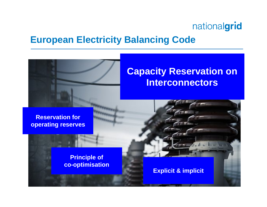# **European Electricity Balancing Code**

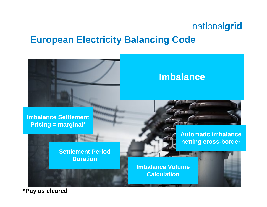# **European Electricity Balancing Code**



**\*Pay as cleared**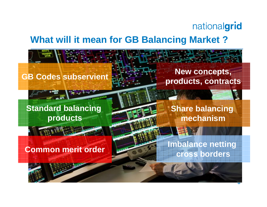# nationalgrid **What will it mean for GB Balancing Market ?**

#### **GB Codes subservient**

# **Standard balancing products**

**New concepts, products, contracts**

**Share balancing mechanism**

**Common merit order Imbalance netting** cross borders

**8**



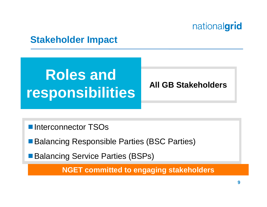

# **Stakeholder Impact**

# **Roles and responsibilities**

**All GB Stakeholders**

**Interconnector TSOs** 

■ Balancing Responsible Parties (BSC Parties)

■ Balancing Service Parties (BSPs)

**NGET committed to engaging stakeholders**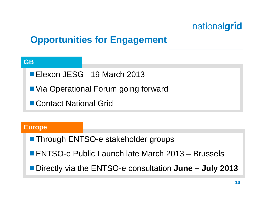# **Opportunities for Engagement**

#### **GB**

Elexon JESG - 19 March 2013

■ Via Operational Forum going forward

■ Contact National Grid

#### **Europe**

■ Through ENTSO-e stakeholder groups

■ ENTSO-e Public Launch late March 2013 – Brussels

Directly via the ENTSO-e consultation **June – July 2013**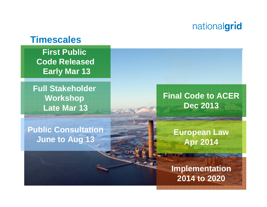### **Timescales**

**First Public Code Released Early Mar 13**

**Full Stakeholder Workshop Late Mar 13**

**Public Consultation June to Aug 13**

## **Final Code to ACER Dec 2013**

**European Law Apr 2014**

**Implementation 2014 to 2020**

111